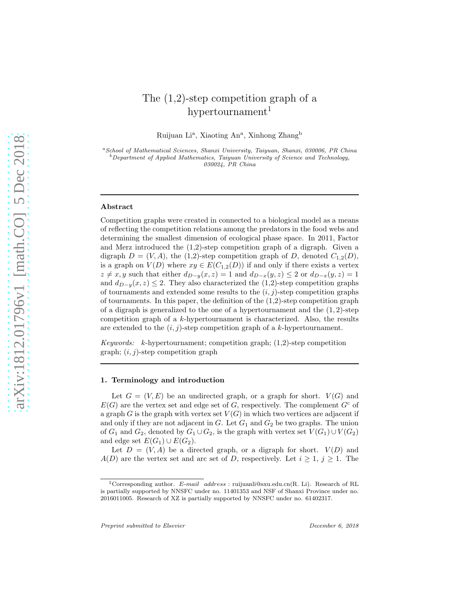# The (1,2)-step competition graph of a hypertournament<sup>1</sup>

Ruijuan Li<sup>a</sup>, Xiaoting An<sup>a</sup>, Xinhong Zhang<sup>b</sup>

<sup>a</sup>School of Mathematical Sciences, Shanxi University, Taiyuan, Shanxi, 030006, PR China  $^b$ Department of Applied Mathematics, Taiyuan University of Science and Technology, 030024, PR China

#### Abstract

Competition graphs were created in connected to a biological model as a means of reflecting the competition relations among the predators in the food webs and determining the smallest dimension of ecological phase space. In 2011, Factor and Merz introduced the (1,2)-step competition graph of a digraph. Given a digraph  $D = (V, A)$ , the (1,2)-step competition graph of D, denoted  $C_{1,2}(D)$ , is a graph on  $V(D)$  where  $xy \in E(C_{1,2}(D))$  if and only if there exists a vertex  $z \neq x, y$  such that either  $d_{D-y}(x, z) = 1$  and  $d_{D-x}(y, z) \leq 2$  or  $d_{D-x}(y, z) = 1$ and  $d_{D-y}(x, z) \leq 2$ . They also characterized the (1,2)-step competition graphs of tournaments and extended some results to the  $(i, j)$ -step competition graphs of tournaments. In this paper, the definition of the  $(1,2)$ -step competition graph of a digraph is generalized to the one of a hypertournament and the  $(1, 2)$ -step competition graph of a k-hypertournament is characterized. Also, the results are extended to the  $(i, j)$ -step competition graph of a k-hypertournament.

*Keywords:* k-hypertournament; competition graph; (1,2)-step competition graph;  $(i, j)$ -step competition graph

# 1. Terminology and introduction

Let  $G = (V, E)$  be an undirected graph, or a graph for short.  $V(G)$  and  $E(G)$  are the vertex set and edge set of G, respectively. The complement  $G<sup>c</sup>$  of a graph G is the graph with vertex set  $V(G)$  in which two vertices are adjacent if and only if they are not adjacent in  $G$ . Let  $G_1$  and  $G_2$  be two graphs. The union of  $G_1$  and  $G_2$ , denoted by  $G_1 \cup G_2$ , is the graph with vertex set  $V(G_1) \cup V(G_2)$ and edge set  $E(G_1) \cup E(G_2)$ .

Let  $D = (V, A)$  be a directed graph, or a digraph for short.  $V(D)$  and  $A(D)$  are the vertex set and arc set of D, respectively. Let  $i \geq 1$ ,  $j \geq 1$ . The

<sup>&</sup>lt;sup>1</sup>Corresponding author. E-mail address : ruijuanli@sxu.edu.cn(R. Li). Research of RL is partially supported by NNSFC under no. 11401353 and NSF of Shanxi Province under no. 2016011005. Research of XZ is partially supported by NNSFC under no. 61402317.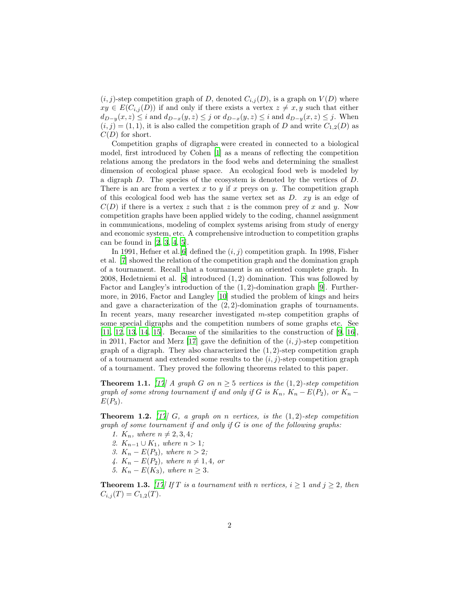$(i, j)$ -step competition graph of D, denoted  $C_{i,j}(D)$ , is a graph on  $V(D)$  where  $xy \in E(C_{i,j}(D))$  if and only if there exists a vertex  $z \neq x, y$  such that either  $d_{D-y}(x, z) \leq i$  and  $d_{D-x}(y, z) \leq j$  or  $d_{D-x}(y, z) \leq i$  and  $d_{D-y}(x, z) \leq j$ . When  $(i, j) = (1, 1)$ , it is also called the competition graph of D and write  $C_{1,2}(D)$  as  $C(D)$  for short.

Competition graphs of digraphs were created in connected to a biological model, first introduced by Cohen [\[1\]](#page-11-0) as a means of reflecting the competition relations among the predators in the food webs and determining the smallest dimension of ecological phase space. An ecological food web is modeled by a digraph D. The species of the ecosystem is denoted by the vertices of D. There is an arc from a vertex x to y if x preys on y. The competition graph of this ecological food web has the same vertex set as  $D$ .  $xy$  is an edge of  $C(D)$  if there is a vertex z such that z is the common prey of x and y. Now competition graphs have been applied widely to the coding, channel assignment in communications, modeling of complex systems arising from study of energy and economic system, etc. A comprehensive introduction to competition graphs can be found in  $[2, 3, 4, 5]$  $[2, 3, 4, 5]$  $[2, 3, 4, 5]$  $[2, 3, 4, 5]$  $[2, 3, 4, 5]$  $[2, 3, 4, 5]$  $[2, 3, 4, 5]$ .

In 1991, Hefner et al. [\[6](#page-12-3)] defined the  $(i, j)$  competition graph. In 1998, Fisher et al. [\[7\]](#page-12-4) showed the relation of the competition graph and the domination graph of a tournament. Recall that a tournament is an oriented complete graph. In 2008, Hedetniemi et al. [\[8\]](#page-12-5) introduced (1, 2) domination. This was followed by Factor and Langley's introduction of the (1, 2)-domination graph [\[9\]](#page-12-6). Furthermore, in 2016, Factor and Langley [\[10\]](#page-12-7) studied the problem of kings and heirs and gave a characterization of the  $(2, 2)$ -domination graphs of tournaments. In recent years, many researcher investigated m-step competition graphs of some special digraphs and the competition numbers of some graphs etc. See  $[11, 12, 13, 14, 15]$  $[11, 12, 13, 14, 15]$  $[11, 12, 13, 14, 15]$  $[11, 12, 13, 14, 15]$  $[11, 12, 13, 14, 15]$  $[11, 12, 13, 14, 15]$  $[11, 12, 13, 14, 15]$  $[11, 12, 13, 14, 15]$ . Because of the similarities to the construction of  $[9, 16]$  $[9, 16]$ , in 2011, Factor and Merz [\[17](#page-12-14)] gave the definition of the  $(i, j)$ -step competition graph of a digraph. They also characterized the  $(1, 2)$ -step competition graph of a tournament and extended some results to the  $(i, j)$ -step competition graph of a tournament. They proved the following theorems related to this paper.

<span id="page-1-0"></span>**Theorem 1.1.** *[\[17\]](#page-12-14) A* graph *G* on  $n \geq 5$  vertices is the  $(1, 2)$ -step competition *graph of some strong tournament if and only if* G *is*  $K_n$ ,  $K_n - E(P_2)$ , or  $K_n - E(P_1)$  $E(P_3)$ .

<span id="page-1-1"></span>Theorem 1.2. *[\[17\]](#page-12-14)* G*, a graph on* n *vertices, is the* (1, 2)*-step competition graph of some tournament if and only if* G *is one of the following graphs:*

- *1.*  $K_n$ *, where*  $n \neq 2, 3, 4$ *;*
- *2.*  $K_{n-1} \cup K_1$ *, where n* > 1*;*
- *3.*  $K_n − E(P_3)$ *, where*  $n > 2$ *;*
- *4.*  $K_n E(P_2)$ *, where*  $n \neq 1, 4$ *, or*
- *5.*  $K_n E(K_3)$ *, where*  $n ≥ 3$ *.*

<span id="page-1-2"></span>**Theorem 1.3.** *[\[17](#page-12-14)] If*  $T$  *is a tournament with*  $n$  *vertices,*  $i \geq 1$  *and*  $j \geq 2$ *, then*  $C_{i,j}(T) = C_{1,2}(T)$ .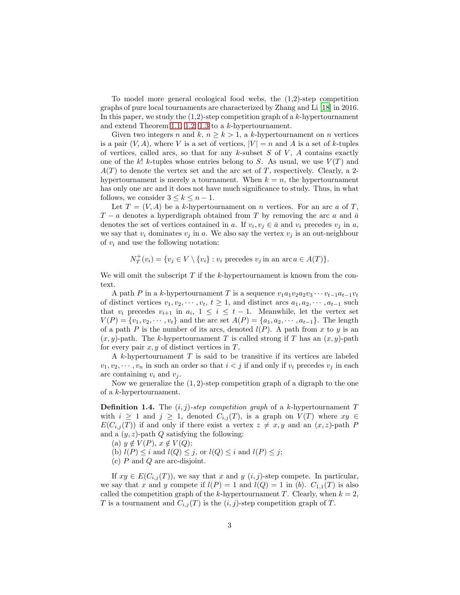To model more general ecological food webs, the (1,2)-step competition graphs of pure local tournaments are characterized by Zhang and Li [\[18\]](#page-13-0) in 2016. In this paper, we study the  $(1,2)$ -step competition graph of a k-hypertournament and extend Theorem [1.1,](#page-1-0) [1.2,](#page-1-1) [1.3](#page-1-2) to a k-hypertournament.

Given two integers n and k,  $n \geq k > 1$ , a k-hypertournament on n vertices is a pair  $(V, A)$ , where V is a set of vertices,  $|V| = n$  and A is a set of k-tuples of vertices, called arcs, so that for any  $k$ -subset  $S$  of  $V$ ,  $A$  contains exactly one of the k! k-tuples whose entries belong to S. As usual, we use  $V(T)$  and  $A(T)$  to denote the vertex set and the arc set of T, respectively. Clearly, a 2hypertournament is merely a tournament. When  $k = n$ , the hypertournament has only one arc and it does not have much significance to study. Thus, in what follows, we consider  $3 \leq k \leq n-1$ .

Let  $T = (V, A)$  be a k-hypertournament on n vertices. For an arc a of T,  $T - a$  denotes a hyperdigraph obtained from T by removing the arc a and  $\bar{a}$ denotes the set of vertices contained in a. If  $v_i, v_j \in \bar{a}$  and  $v_i$  precedes  $v_j$  in a, we say that  $v_i$  dominates  $v_j$  in a. We also say the vertex  $v_j$  is an out-neighbour of  $v_i$  and use the following notation:

$$
N_T^+(v_i) = \{v_j \in V \setminus \{v_i\} : v_i \text{ precedes } v_j \text{ in an arc } a \in A(T)\}.
$$

We will omit the subscript  $T$  if the k-hypertournament is known from the context.

A path P in a k-hypertournament T is a sequence  $v_1a_1v_2a_2v_3\cdots v_{t-1}a_{t-1}v_t$ of distinct vertices  $v_1, v_2, \cdots, v_t, t \geq 1$ , and distinct arcs  $a_1, a_2, \cdots, a_{t-1}$  such that  $v_i$  precedes  $v_{i+1}$  in  $a_i$ ,  $1 \leq i \leq t-1$ . Meanwhile, let the vertex set  $V(P) = \{v_1, v_2, \dots, v_t\}$  and the arc set  $A(P) = \{a_1, a_2, \dots, a_{t-1}\}.$  The length of a path P is the number of its arcs, denoted  $l(P)$ . A path from x to y is an  $(x, y)$ -path. The k-hypertournament T is called strong if T has an  $(x, y)$ -path for every pair  $x, y$  of distinct vertices in  $T$ .

A k-hypertournament T is said to be transitive if its vertices are labeled  $v_1, v_2, \dots, v_n$  in such an order so that  $i < j$  if and only if  $v_i$  precedes  $v_j$  in each arc containing  $v_i$  and  $v_j$ .

Now we generalize the  $(1, 2)$ -step competition graph of a digraph to the one of a k-hypertournament.

**Definition 1.4.** The  $(i, j)$ -step competition graph of a k-hypertournament T with  $i \geq 1$  and  $j \geq 1$ , denoted  $C_{i,j}(T)$ , is a graph on  $V(T)$  where  $xy \in$  $E(C_{i,j}(T))$  if and only if there exist a vertex  $z \neq x, y$  and an  $(x, z)$ -path P and a  $(y, z)$ -path  $Q$  satisfying the following:

- (a)  $y \notin V(P)$ ,  $x \notin V(Q)$ ;
- (b)  $l(P) \leq i$  and  $l(Q) \leq j$ , or  $l(Q) \leq i$  and  $l(P) \leq j$ ;
- (c) P and Q are arc-disjoint.

If  $xy \in E(C_{i,j}(T))$ , we say that x and y  $(i, j)$ -step compete. In particular, we say that x and y compete if  $l(P) = 1$  and  $l(Q) = 1$  in (b).  $C_{1,1}(T)$  is also called the competition graph of the k-hypertournament T. Clearly, when  $k = 2$ , T is a tournament and  $C_{i,j}(T)$  is the  $(i, j)$ -step competition graph of T.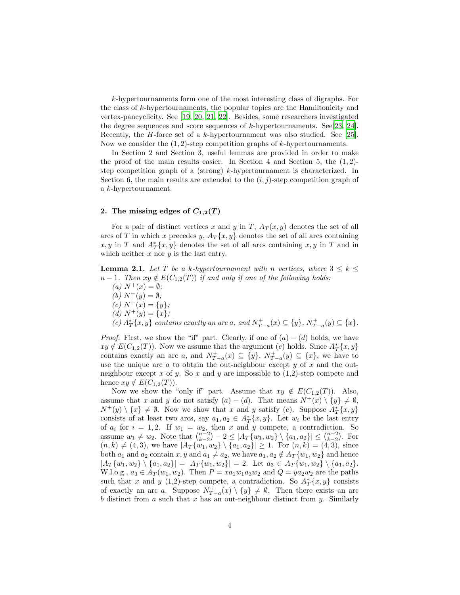k-hypertournaments form one of the most interesting class of digraphs. For the class of k-hypertournaments, the popular topics are the Hamiltonicity and vertex-pancyclicity. See [\[19,](#page-13-1) [20,](#page-13-2) [21](#page-13-3), [22](#page-13-4)]. Besides, some researchers investigated the degree sequences and score sequences of k-hypertournaments. See[\[23,](#page-13-5) [24\]](#page-13-6). Recently, the *H*-force set of a k-hypertournament was also studied. See [\[25\]](#page-13-7). Now we consider the  $(1, 2)$ -step competition graphs of k-hypertournaments.

In Section 2 and Section 3, useful lemmas are provided in order to make the proof of the main results easier. In Section 4 and Section 5, the  $(1, 2)$ step competition graph of a (strong) k-hypertournament is characterized. In Section 6, the main results are extended to the  $(i, j)$ -step competition graph of a k-hypertournament.

# 2. The missing edges of  $C_{1,2}(T)$

For a pair of distinct vertices x and y in T,  $A_T(x, y)$  denotes the set of all arcs of T in which x precedes y,  $A_T\{x, y\}$  denotes the set of all arcs containing  $x, y$  in T and  $A_T^*[x, y]$  denotes the set of all arcs containing  $x, y$  in T and in which neither  $x$  nor  $y$  is the last entry.

<span id="page-3-0"></span>**Lemma 2.1.** Let T be a k-hypertournament with n vertices, where  $3 \leq k \leq$  $n-1$ *. Then*  $xy \notin E(C_{1,2}(T))$  *if and only if one of the following holds:* 

*(a)*  $N^{+}(x) = \emptyset$ *; (b)*  $N^{+}(y) = \emptyset$ *;*  $(c) N^{+}(x) = \{y\};$ *(d)*  $N^+(y) = \{x\}$ ;  $(e)$   $A_T^*[x, y]$  *contains exactly an arc* a*, and*  $N_{T-a}^+(x) \subseteq \{y\}$ *,*  $N_{T-a}^+(y) \subseteq \{x\}$ *.* 

*Proof.* First, we show the "if" part. Clearly, if one of  $(a) - (d)$  holds, we have  $xy \notin E(C_{1,2}(T))$ . Now we assume that the argument (e) holds. Since  $A_T^*(x, y)$ contains exactly an arc a, and  $N^+_{T-a}(x) \subseteq \{y\}, N^+_{T-a}(y) \subseteq \{x\}$ , we have to use the unique arc  $\alpha$  to obtain the out-neighbour except  $y$  of  $x$  and the outneighbour except x of y. So x and y are impossible to  $(1,2)$ -step compete and hence  $xy \notin E(C_{1,2}(T))$ .

Now we show the "only if" part. Assume that  $xy \notin E(C_{1,2}(T))$ . Also, assume that x and y do not satisfy  $(a) - (d)$ . That means  $N^+(x) \setminus \{y\} \neq \emptyset$ ,  $N^+(y) \setminus \{x\} \neq \emptyset$ . Now we show that x and y satisfy (e). Suppose  $A_T^*(x, y)$ consists of at least two arcs, say  $a_1, a_2 \in A_T^*[x, y]$ . Let  $w_i$  be the last entry of  $a_i$  for  $i = 1, 2$ . If  $w_1 = w_2$ , then  $x$  and  $y$  compete, a contradiction. So assume  $w_1 \neq w_2$ . Note that  $\binom{n-2}{k-2} - 2 \leq |A_T\{w_1, w_2\} \setminus \{a_1, a_2\}| \leq \binom{n-2}{k-2}$ . For  $(n, k) \neq (4, 3)$ , we have  $|A_T \{w_1, w_2\} \setminus \{a_1, a_2\}| \geq 1$ . For  $(n, k) = (4, 3)$ , since both  $a_1$  and  $a_2$  contain  $x, y$  and  $a_1 \neq a_2$ , we have  $a_1, a_2 \notin A_T \{w_1, w_2\}$  and hence  $|A_T \{w_1, w_2\} \setminus \{a_1, a_2\}| = |A_T \{w_1, w_2\}| = 2.$  Let  $a_3 \in A_T \{w_1, w_2\} \setminus \{a_1, a_2\}.$ W.l.o.g.,  $a_3 \in A_T(w_1, w_2)$ . Then  $P = xa_1w_1a_3w_2$  and  $Q = ya_2w_2$  are the paths such that x and y (1,2)-step compete, a contradiction. So  $A_T^*\{x,y\}$  consists of exactly an arc a. Suppose  $N^+_{T-a}(x) \setminus \{y\} \neq \emptyset$ . Then there exists an arc b distinct from a such that x has an out-neighbour distinct from y. Similarly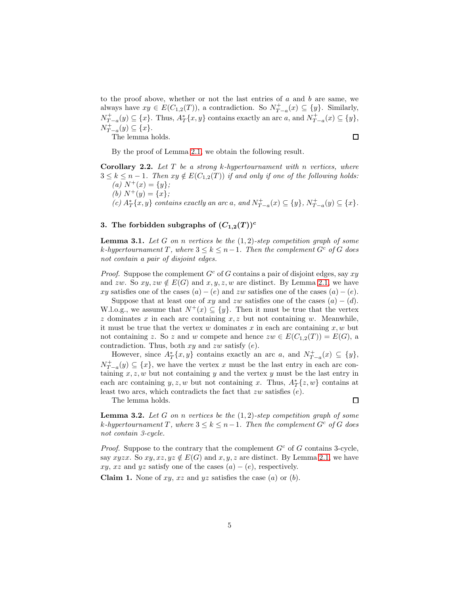to the proof above, whether or not the last entries of  $a$  and  $b$  are same, we always have  $xy \in E(C_{1,2}(T))$ , a contradiction. So  $N_{T-a}^+(x) \subseteq \{y\}$ . Similarly,  $N^+_{T-a}(y) \subseteq \{x\}.$  Thus,  $A^*_T\{x, y\}$  contains exactly an arc a, and  $N^+_{T-a}(x) \subseteq \{y\},$  $N^+_{T-a}(y) \subseteq \{x\}.$ 

The lemma holds.

 $\Box$ 

By the proof of Lemma [2.1,](#page-3-0) we obtain the following result.

<span id="page-4-0"></span>Corollary 2.2. *Let* T *be a strong* k*-hypertournament with* n *vertices, where*  $3 \leq k \leq n-1$ . Then  $xy \notin E(C_{1,2}(T))$  *if and only if one of the following holds:*  $(a) N^+(x) = \{y\};$ *(b)*  $N^+(y) = \{x\}$ ;  $(c)$   $A_T^*[x, y]$  *contains exactly an arc* a*, and*  $N_{T-a}^+(x) \subseteq \{y\}$ *,*  $N_{T-a}^+(y) \subseteq \{x\}$ *.* 

# 3. The forbidden subgraphs of  $(C_{1,2}(T))^c$

<span id="page-4-1"></span>Lemma 3.1. *Let* G *on* n *vertices be the* (1, 2)*-step competition graph of some*  $k$ *-hypertournament*  $T$ *, where*  $3 \leq k \leq n-1$ *. Then the complement*  $G<sup>c</sup>$  *of*  $G$  *does not contain a pair of disjoint edges.*

*Proof.* Suppose the complement  $G^c$  of G contains a pair of disjoint edges, say  $xy$ and zw. So  $xy, zw \notin E(G)$  and  $x, y, z, w$  are distinct. By Lemma [2.1,](#page-3-0) we have xy satisfies one of the cases  $(a) - (e)$  and zw satisfies one of the cases  $(a) - (e)$ .

Suppose that at least one of xy and zw satisfies one of the cases  $(a) - (d)$ . W.l.o.g., we assume that  $N^+(x) \subseteq \{y\}$ . Then it must be true that the vertex  $z$  dominates  $x$  in each arc containing  $x, z$  but not containing  $w$ . Meanwhile, it must be true that the vertex  $w$  dominates  $x$  in each arc containing  $x, w$  but not containing z. So z and w compete and hence  $zw \in E(C_{1,2}(T)) = E(G)$ , a contradiction. Thus, both  $xy$  and  $zw$  satisfy  $(e)$ .

However, since  $A_T^*[x, y]$  contains exactly an arc a, and  $N_{T-a}^+(x) \subseteq \{y\},$  $N^+_{T-a}(y) \subseteq \{x\}$ , we have the vertex x must be the last entry in each arc containing  $x, z, w$  but not containing y and the vertex y must be the last entry in each arc containing y, z, w but not containing x. Thus,  $A_T^*[z, w]$  contains at least two arcs, which contradicts the fact that  $zw$  satisfies  $(e)$ .

The lemma holds.

 $\Box$ 

<span id="page-4-2"></span>Lemma 3.2. *Let* G *on* n *vertices be the* (1, 2)*-step competition graph of some*  $k$ *-hypertournament*  $T$ *, where*  $3 \leq k \leq n-1$ *. Then the complement*  $G<sup>c</sup>$  *of*  $G$  *does not contain 3-cycle.*

*Proof.* Suppose to the contrary that the complement  $G<sup>c</sup>$  of G contains 3-cycle, say xyzx. So  $xy, xz, yz \notin E(G)$  and  $x, y, z$  are distinct. By Lemma [2.1,](#page-3-0) we have xy, xz and yz satisfy one of the cases  $(a) - (e)$ , respectively.

**Claim 1.** None of xy, xz and yz satisfies the case (a) or (b).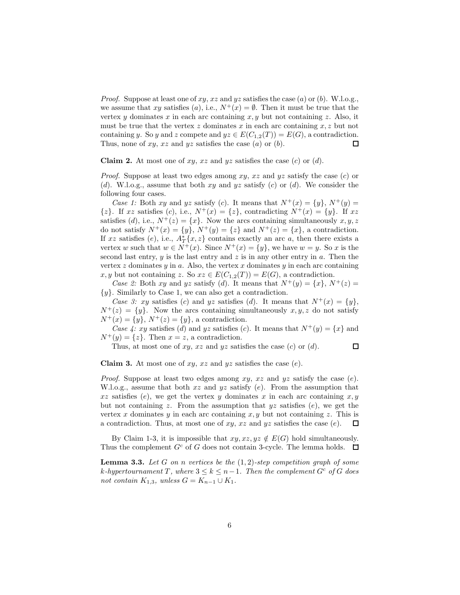*Proof.* Suppose at least one of  $xy$ ,  $xz$  and  $yz$  satisfies the case (a) or (b). W.l.o.g., we assume that xy satisfies (a), i.e.,  $N^+(x) = \emptyset$ . Then it must be true that the vertex y dominates x in each arc containing  $x, y$  but not containing z. Also, it must be true that the vertex z dominates x in each arc containing  $x, z$  but not containing y. So y and z compete and  $yz \in E(C_{1,2}(T)) = E(G)$ , a contradiction. Thus, none of  $xy$ ,  $xz$  and  $yz$  satisfies the case  $(a)$  or  $(b)$ .  $\Box$ 

**Claim 2.** At most one of xy, xz and yz satisfies the case  $(c)$  or  $(d)$ .

*Proof.* Suppose at least two edges among xy, xz and yz satisfy the case (c) or (d). W.l.o.g., assume that both  $xy$  and  $yz$  satisfy (c) or (d). We consider the following four cases.

*Case 1:* Both xy and yz satisfy (c). It means that  $N^+(x) = \{y\}, N^+(y) =$  $\{z\}$ . If xz satisfies (c), i.e.,  $N^+(x) = \{z\}$ , contradicting  $N^+(x) = \{y\}$ . If xz satisfies (d), i.e.,  $N^+(z) = \{x\}$ . Now the arcs containing simultaneously  $x, y, z$ do not satisfy  $N^+(x) = \{y\}, N^+(y) = \{z\}$  and  $N^+(z) = \{x\}$ , a contradiction. If xz satisfies (e), i.e.,  $A_T^*\{x,z\}$  contains exactly an arc a, then there exists a vertex w such that  $w \in N^+(x)$ . Since  $N^+(x) = \{y\}$ , we have  $w = y$ . So x is the second last entry,  $y$  is the last entry and  $z$  is in any other entry in  $a$ . Then the vertex  $z$  dominates  $y$  in  $a$ . Also, the vertex  $x$  dominates  $y$  in each arc containing x, y but not containing z. So  $xz \in E(C_{1,2}(T)) = E(G)$ , a contradiction.

*Case 2:* Both xy and yz satisfy (d). It means that  $N^+(y) = \{x\}, N^+(z) =$  ${y}$ . Similarly to Case 1, we can also get a contradiction.

*Case 3: xy* satisfies (c) and yz satisfies (d). It means that  $N^+(x) = \{y\}$ ,  $N^+(z) = \{y\}$ . Now the arcs containing simultaneously  $x, y, z$  do not satisfy  $N^+(x) = \{y\}, N^+(z) = \{y\}, \text{ a contradiction.}$ 

*Case 4: xy* satisfies (d) and yz satisfies (c). It means that  $N^+(y) = \{x\}$  and  $N^+(y) = \{z\}.$  Then  $x = z$ , a contradiction.

Thus, at most one of xy, xz and yz satisfies the case  $(c)$  or  $(d)$ .  $\Box$ 

**Claim 3.** At most one of xy, xz and yz satisfies the case  $(e)$ .

*Proof.* Suppose at least two edges among  $xy$ ,  $xz$  and  $yz$  satisfy the case (e). W.l.o.g., assume that both  $xz$  and  $yz$  satisfy  $(e)$ . From the assumption that xz satisfies (e), we get the vertex y dominates x in each arc containing  $x, y$ but not containing z. From the assumption that  $yz$  satisfies  $(e)$ , we get the vertex x dominates y in each arc containing x, y but not containing z. This is a contradiction. Thus, at most one of  $xy$ ,  $xz$  and  $yz$  satisfies the case (e). □

By Claim 1-3, it is impossible that  $xy, xz, yz \notin E(G)$  hold simultaneously. Thus the complement  $G<sup>c</sup>$  of G does not contain 3-cycle. The lemma holds.  $\Box$ 

<span id="page-5-0"></span>Lemma 3.3. *Let* G *on* n *vertices be the* (1, 2)*-step competition graph of some*  $k$ *-hypertournament*  $T$ *, where*  $3 \leq k \leq n-1$ *. Then the complement*  $G<sup>c</sup>$  *of*  $G$  *does not contain*  $K_{1,3}$ *, unless*  $G = K_{n-1} \cup K_1$ *.*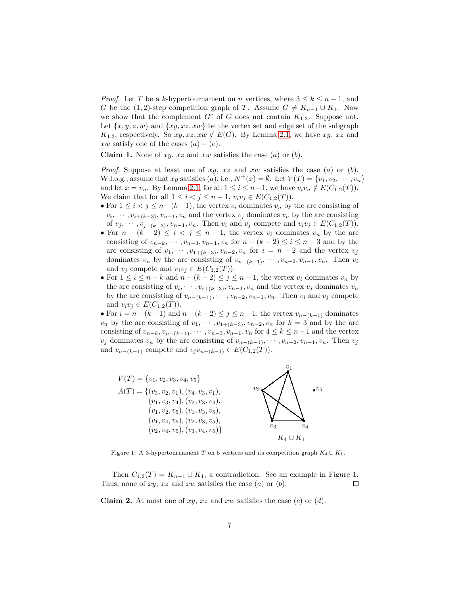*Proof.* Let T be a k-hypertournament on n vertices, where  $3 \leq k \leq n-1$ , and G be the (1,2)-step competition graph of T. Assume  $G \neq K_{n-1} \cup K_1$ . Now we show that the complement  $G^c$  of G does not contain  $K_{1,3}$ . Suppose not. Let  $\{x, y, z, w\}$  and  $\{xy, xz, xw\}$  be the vertex set and edge set of the subgraph  $K_{1,3}$ , respectively. So  $xy, xz, xw \notin E(G)$ . By Lemma [2.1,](#page-3-0) we have  $xy, xz$  and xw satisfy one of the cases  $(a) - (e)$ .

**Claim 1.** None of  $xy$ ,  $xz$  and  $xw$  satisfies the case  $(a)$  or  $(b)$ .

*Proof.* Suppose at least one of  $xy$ ,  $xz$  and  $xw$  satisfies the case  $(a)$  or  $(b)$ . W.l.o.g., assume that xy satisfies (a), i.e.,  $N^+(x) = \emptyset$ . Let  $V(T) = \{v_1, v_2, \dots, v_n\}$ and let  $x = v_n$ . By Lemma [2.1,](#page-3-0) for all  $1 \leq i \leq n-1$ , we have  $v_i v_n \notin E(C_{1,2}(T))$ . We claim that for all  $1 \leq i < j \leq n-1$ ,  $v_i v_j \in E(C_{1,2}(T))$ .

- For  $1 \leq i < j \leq n-(k-1)$ , the vertex  $v_i$  dominates  $v_n$  by the arc consisting of  $v_i, \dots, v_{i+(k-3)}, v_{n-1}, v_n$  and the vertex  $v_j$  dominates  $v_n$  by the arc consisting of  $v_j, \dots, v_{j+(k-3)}, v_{n-1}, v_n$ . Then  $v_i$  and  $v_j$  compete and  $v_i v_j \in E(C_{1,2}(T))$ .
- For  $n (k 2) \leq i < j \leq n 1$ , the vertex  $v_i$  dominates  $v_n$  by the arc consisting of  $v_{n-k}, \dots, v_{n-3}, v_{n-1}, v_n$  for  $n - (k-2) \le i \le n-3$  and by the arc consisting of  $v_1, \dots, v_{1+(k-3)}, v_{n-2}, v_n$  for  $i = n-2$  and the vertex  $v_j$ dominates  $v_n$  by the arc consisting of  $v_{n-(k-1)}, \dots, v_{n-2}, v_{n-1}, v_n$ . Then  $v_i$ and  $v_j$  compete and  $v_i v_j \in E(C_{1,2}(T))$ .
- For  $1 \leq i \leq n-k$  and  $n-(k-2) \leq j \leq n-1$ , the vertex  $v_i$  dominates  $v_n$  by the arc consisting of  $v_i, \dots, v_{i+(k-3)}, v_{n-1}, v_n$  and the vertex  $v_j$  dominates  $v_n$ by the arc consisting of  $v_{n-(k-1)}, \dots, v_{n-2}, v_{n-1}, v_n$ . Then  $v_i$  and  $v_j$  compete and  $v_i v_j \in E(C_{1,2}(T))$ .

• For  $i = n-(k-1)$  and  $n-(k-2) \leq j \leq n-1$ , the vertex  $v_{n-(k-1)}$  dominates  $v_n$  by the arc consisting of  $v_1, \dots, v_{1+(k-3)}, v_{n-2}, v_n$  for  $k=3$  and by the arc consisting of  $v_{n-k}, v_{n-(k-1)}, \dots, v_{n-3}, v_{n-1}, v_n$  for  $4 \leq k \leq n-1$  and the vertex  $v_j$  dominates  $v_n$  by the arc consisting of  $v_{n-(k-1)}, \dots, v_{n-2}, v_{n-1}, v_n$ . Then  $v_j$ and  $v_{n-(k-1)}$  compete and  $v_jv_{n-(k-1)} \in E(C_{1,2}(T)).$ 



Figure 1: A 3-hypertournament T on 5 vertices and its competition graph  $K_4 \cup K_1$ .

Then  $C_{1,2}(T) = K_{n-1} \cup K_1$ , a contradiction. See an example in Figure 1. Thus, none of  $xy$ ,  $xz$  and  $xw$  satisfies the case  $(a)$  or  $(b)$ . П

**Claim 2.** At most one of  $xy$ ,  $xz$  and  $xw$  satisfies the case  $(c)$  or  $(d)$ .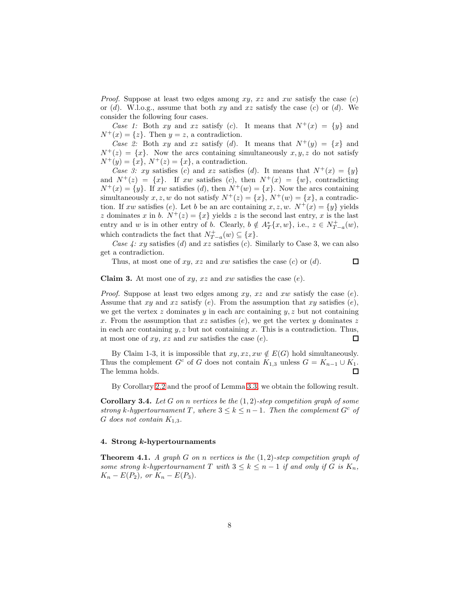*Proof.* Suppose at least two edges among  $xy$ ,  $xz$  and  $xw$  satisfy the case  $(c)$ or  $(d)$ . W.l.o.g., assume that both xy and xz satisfy the case  $(c)$  or  $(d)$ . We consider the following four cases.

*Case 1:* Both xy and xz satisfy (c). It means that  $N^+(x) = \{y\}$  and  $N^+(x) = \{z\}.$  Then  $y = z$ , a contradiction.

*Case 2:* Both xy and xz satisfy (d). It means that  $N^+(y) = \{x\}$  and  $N^+(z) = \{x\}$ . Now the arcs containing simultaneously  $x, y, z$  do not satisfy  $N^+(y) = \{x\}, N^+(z) = \{x\}, \, \text{a contradiction}.$ 

*Case 3: xy* satisfies (c) and xz satisfies (d). It means that  $N^+(x) = \{y\}$ and  $N^+(z) = \{x\}$ . If xw satisfies (c), then  $N^+(x) = \{w\}$ , contradicting  $N^+(x) = \{y\}.$  If xw satisfies (d), then  $N^+(w) = \{x\}.$  Now the arcs containing simultaneously x, z, w do not satisfy  $N^+(z) = \{x\}$ ,  $N^+(w) = \{x\}$ , a contradiction. If xw satisfies (e). Let b be an arc containing x, z, w.  $N^+(x) = \{y\}$  yields z dominates x in b.  $N^+(z) = \{x\}$  yields z is the second last entry, x is the last entry and w is in other entry of b. Clearly,  $b \notin A_T^*\{x,w\}$ , i.e.,  $z \in N_{T-a}^+(w)$ , which contradicts the fact that  $N^+_{T-a}(w) \subseteq \{x\}.$ 

*Case 4: xy* satisfies (d) and xz satisfies (c). Similarly to Case 3, we can also get a contradiction.

Thus, at most one of xy, xz and xw satisfies the case  $(c)$  or  $(d)$ .

 $\Box$ 

**Claim 3.** At most one of xy, x and xw satisfies the case  $(e)$ .

*Proof.* Suppose at least two edges among  $xy$ ,  $xz$  and  $xw$  satisfy the case  $(e)$ . Assume that  $xy$  and  $xz$  satisfy (e). From the assumption that  $xy$  satisfies (e), we get the vertex z dominates y in each arc containing  $y, z$  but not containing x. From the assumption that xz satisfies  $(e)$ , we get the vertex y dominates z in each arc containing  $y, z$  but not containing  $x$ . This is a contradiction. Thus, at most one of  $xy$ ,  $xz$  and  $xw$  satisfies the case  $(e)$ . 口

By Claim 1-3, it is impossible that  $xy, xz, xw \notin E(G)$  hold simultaneously. Thus the complement  $G^c$  of G does not contain  $K_{1,3}$  unless  $G = K_{n-1} \cup K_1$ . The lemma holds. □

By Corollary [2.2](#page-4-0) and the proof of Lemma [3.3,](#page-5-0) we obtain the following result.

<span id="page-7-0"></span>Corollary 3.4. *Let* G *on* n *vertices be the* (1, 2)*-step competition graph of some strong* k-hypertournament T, where  $3 \leq k \leq n-1$ . Then the complement  $G<sup>c</sup>$  of G does not contain  $K_{1,3}$ .

### 4. Strong k-hypertournaments

<span id="page-7-1"></span>Theorem 4.1. *A graph* G *on* n *vertices is the* (1, 2)*-step competition graph of some strong* k-hypertournament T with  $3 \leq k \leq n-1$  *if and only if* G *is*  $K_n$ ,  $K_n - E(P_2)$ *, or*  $K_n - E(P_3)$ *.*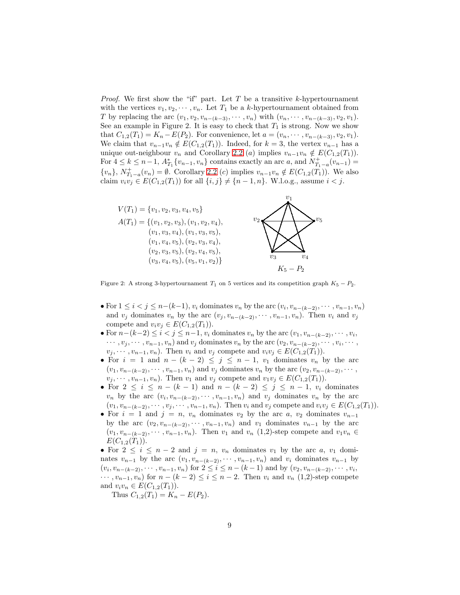*Proof.* We first show the "if" part. Let  $T$  be a transitive  $k$ -hypertournament with the vertices  $v_1, v_2, \dots, v_n$ . Let  $T_1$  be a k-hypertournament obtained from T by replacing the arc  $(v_1, v_2, v_{n-(k-3)}, \cdots, v_n)$  with  $(v_n, \cdots, v_{n-(k-3)}, v_2, v_1)$ . See an example in Figure 2. It is easy to check that  $T_1$  is strong. Now we show that  $C_{1,2}(T_1) = K_n - E(P_2)$ . For convenience, let  $a = (v_n, \dots, v_{n-(k-3)}, v_2, v_1)$ . We claim that  $v_{n-1}v_n \notin E(C_{1,2}(T_1))$ . Indeed, for  $k = 3$ , the vertex  $v_{n-1}$  has a unique out-neighbour  $v_n$  and Corollary [2.2](#page-4-0) (a) implies  $v_{n-1}v_n \notin E(C_{1,2}(T_1)).$ For  $4 \leq k \leq n-1$ ,  $A_{T_1}^* \{v_{n-1}, v_n\}$  contains exactly an arc a, and  $N_{T_1-a}^+(v_{n-1}) =$  $\{v_n\}, N^+_{T_1-a}(v_n) = \emptyset$ . Corollary [2.2](#page-4-0) (c) implies  $v_{n-1}v_n \notin E(C_{1,2}(T_1))$ . We also claim  $v_i v_j \in E(C_{1,2}(T_1))$  for all  $\{i, j\} \neq \{n-1, n\}$ . W.l.o.g., assume  $i < j$ .



Figure 2: A strong 3-hypertournament  $T_1$  on 5 vertices and its competition graph  $K_5 - P_2$ .

- For  $1 \leq i < j \leq n-(k-1)$ ,  $v_i$  dominates  $v_n$  by the arc  $(v_i, v_{n-(k-2)}, \dots, v_{n-1}, v_n)$ and  $v_j$  dominates  $v_n$  by the arc  $(v_j, v_{n-(k-2)}, \dots, v_{n-1}, v_n)$ . Then  $v_i$  and  $v_j$ compete and  $v_i v_j \in E(C_{1,2}(T_1)).$
- For  $n-(k-2) \leq i < j \leq n-1$ ,  $v_i$  dominates  $v_n$  by the arc  $(v_1, v_{n-(k-2)}, \dots, v_i)$ ,  $\cdots, v_j, \cdots, v_{n-1}, v_n$  and  $v_j$  dominates  $v_n$  by the arc  $(v_2, v_{n-(k-2)}, \cdots, v_i, \cdots, v_n)$  $v_j, \dots, v_{n-1}, v_n$ ). Then  $v_i$  and  $v_j$  compete and  $v_i v_j \in E(C_{1,2}(T_1))$ .
- For  $i = 1$  and  $n (k 2) \le j \le n 1$ ,  $v_1$  dominates  $v_n$  by the arc  $(v_1, v_{n-(k-2)}, \dots, v_{n-1}, v_n)$  and  $v_j$  dominates  $v_n$  by the arc  $(v_2, v_{n-(k-2)}, \dots, v_n)$  $v_j, \dots, v_{n-1}, v_n$ ). Then  $v_1$  and  $v_j$  compete and  $v_1v_j \in E(C_{1,2}(T_1))$ .
- For  $2 \leq i \leq n (k-1)$  and  $n (k-2) \leq j \leq n-1$ ,  $v_i$  dominates  $v_n$  by the arc  $(v_i, v_{n-(k-2)}, \dots, v_{n-1}, v_n)$  and  $v_j$  dominates  $v_n$  by the arc  $(v_1, v_{n-(k-2)}, \dots, v_j, \dots, v_{n-1}, v_n)$ . Then  $v_i$  and  $v_j$  compete and  $v_i v_j \in E(C_{1,2}(T_1)).$
- For  $i = 1$  and  $j = n$ ,  $v_n$  dominates  $v_2$  by the arc  $a, v_2$  dominates  $v_{n-1}$ by the arc  $(v_2, v_{n-(k-2)}, \cdots, v_{n-1}, v_n)$  and  $v_1$  dominates  $v_{n-1}$  by the arc  $(v_1, v_{n-(k-2)}, \cdots, v_{n-1}, v_n)$ . Then  $v_1$  and  $v_n$  (1,2)-step compete and  $v_1v_n \in$  $E(C_{1,2}(T_1)).$

• For  $2 \leq i \leq n-2$  and  $j = n$ ,  $v_n$  dominates  $v_1$  by the arc  $a, v_1$  dominates  $v_{n-1}$  by the arc  $(v_1, v_{n-(k-2)}, \cdots, v_{n-1}, v_n)$  and  $v_i$  dominates  $v_{n-1}$  by  $(v_i, v_{n-(k-2)}, \dots, v_{n-1}, v_n)$  for  $2 \leq i \leq n-(k-1)$  and by  $(v_2, v_{n-(k-2)}, \dots, v_i, v_n)$  $\cdots$ ,  $v_{n-1}, v_n$  for  $n - (k-2) \leq i \leq n-2$ . Then  $v_i$  and  $v_n$  (1,2)-step compete and  $v_i v_n \in E(C_{1,2}(T_1)).$ 

Thus  $C_{1,2}(T_1) = K_n - E(P_2)$ .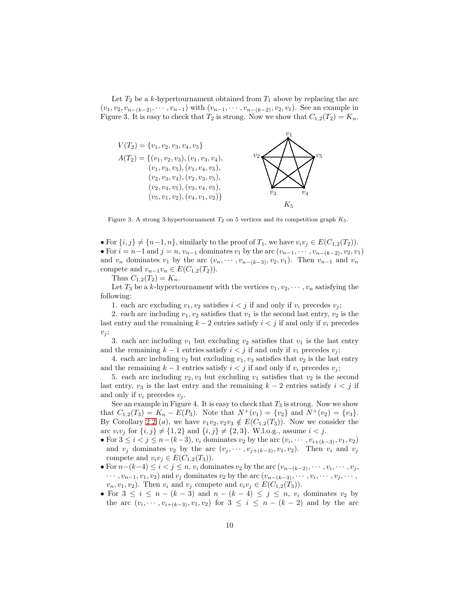Let  $T_2$  be a k-hypertournament obtained from  $T_1$  above by replacing the arc  $(v_1, v_2, v_{n-(k-2)}, \cdots, v_{n-1})$  with  $(v_{n-1}, \cdots, v_{n-(k-2)}, v_2, v_1)$ . See an example in Figure 3. It is easy to check that  $T_2$  is strong. Now we show that  $C_{1,2}(T_2) = K_n$ .



Figure 3: A strong 3-hypertournament  $T_2$  on 5 vertices and its competition graph  $K_5$ .

• For  $\{i, j\} \neq \{n-1, n\}$ , similarly to the proof of  $T_1$ , we have  $v_i v_j \in E(C_{1,2}(T_2)).$ • For  $i = n-1$  and  $j = n$ ,  $v_{n-1}$  dominates  $v_1$  by the arc  $(v_{n-1}, \dots, v_{n-(k-2)}, v_2, v_1)$ and  $v_n$  dominates  $v_1$  by the arc  $(v_n, \dots, v_{n-(k-3)}, v_2, v_1)$ . Then  $v_{n-1}$  and  $v_n$ compete and  $v_{n-1}v_n \in E(C_{1,2}(T_2)).$ 

Thus  $C_{1,2}(T_2) = K_n$ .

Let  $T_3$  be a k-hypertournament with the vertices  $v_1, v_2, \cdots, v_n$  satisfying the following:

1. each arc excluding  $v_1, v_2$  satisfies  $i < j$  if and only if  $v_i$  precedes  $v_j$ ;

2. each arc including  $v_1, v_2$  satisfies that  $v_1$  is the second last entry,  $v_2$  is the last entry and the remaining  $k-2$  entries satisfy  $i < j$  if and only if  $v_i$  precedes  $v_i$ ;

3. each arc including  $v_1$  but excluding  $v_2$  satisfies that  $v_1$  is the last entry and the remaining  $k-1$  entries satisfy  $i < j$  if and only if  $v_i$  precedes  $v_j$ ;

4. each arc including  $v_2$  but excluding  $v_1, v_3$  satisfies that  $v_2$  is the last entry and the remaining  $k - 1$  entries satisfy  $i < j$  if and only if  $v_i$  precedes  $v_j$ ;

5. each arc including  $v_2, v_3$  but excluding  $v_1$  satisfies that  $v_2$  is the second last entry,  $v_3$  is the last entry and the remaining  $k-2$  entries satisfy  $i < j$  if and only if  $v_i$  precedes  $v_i$ .

See an example in Figure 4. It is easy to check that  $T_3$  is strong. Now we show that  $C_{1,2}(T_3) = K_n - E(P_3)$ . Note that  $N^+(v_1) = \{v_2\}$  and  $N^+(v_2) = \{v_3\}$ . By Corollary [2.2](#page-4-0) (a), we have  $v_1v_2, v_2v_3 \notin E(C_{1,2}(T_3))$ . Now we consider the arc  $v_i v_j$  for  $\{i, j\} \neq \{1, 2\}$  and  $\{i, j\} \neq \{2, 3\}$ . W.l.o.g., assume  $i < j$ .

- For  $3 \le i < j \le n-(k-3)$ ,  $v_i$  dominates  $v_2$  by the arc  $(v_i, \dots, v_{i+(k-3)}, v_1, v_2)$ and  $v_j$  dominates  $v_2$  by the arc  $(v_j, \dots, v_{j+(k-3)}, v_1, v_2)$ . Then  $v_i$  and  $v_j$ compete and  $v_i v_j \in E(C_{1,2}(T_3)).$
- For  $n-(k-4) \leq i < j \leq n$ ,  $v_i$  dominates  $v_2$  by the arc  $(v_{n-(k-2)}, \dots, v_i, \dots, v_j)$ ,  $\cdots$ ,  $v_{n-1}, v_1, v_2$ ) and  $v_j$  dominates  $v_2$  by the arc  $(v_{n-(k-3)}, \cdots, v_i, \cdots, v_j, \cdots, v_{n-(k-2)})$  $v_n, v_1, v_2$ . Then  $v_i$  and  $v_j$  compete and  $v_i v_j \in E(C_{1,2}(T_3)).$
- For  $3 \leq i \leq n (k-3)$  and  $n (k-4) \leq j \leq n$ ,  $v_i$  dominates  $v_2$  by the arc  $(v_i, \dots, v_{i+(k-3)}, v_1, v_2)$  for  $3 \leq i \leq n - (k-2)$  and by the arc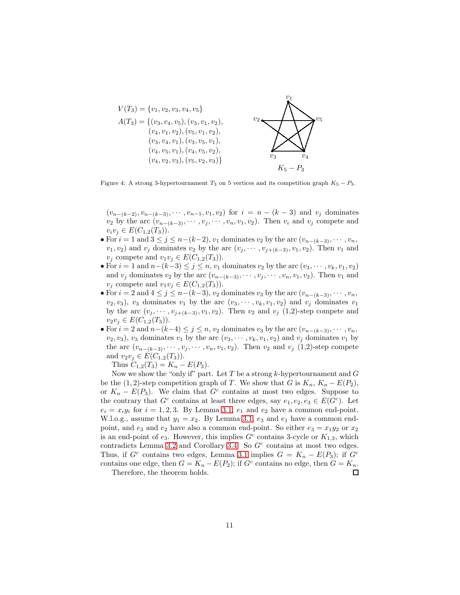

Figure 4: A strong 3-hypertournament  $T_3$  on 5 vertices and its competition graph  $K_5 - P_3$ .

 $(v_{n-(k-2)}, v_{n-(k-3)}, \cdots, v_{n-1}, v_1, v_2)$  for  $i = n - (k-3)$  and  $v_j$  dominates  $v_2$  by the arc  $(v_{n-(k-3)}, \cdots, v_j, \cdots, v_n, v_1, v_2)$ . Then  $v_i$  and  $v_j$  compete and  $v_i v_j \in E(C_{1,2}(T_3)).$ 

- For  $i = 1$  and  $3 \le j \le n-(k-2)$ ,  $v_1$  dominates  $v_2$  by the arc  $(v_{n-(k-3)}, \dots, v_n)$ ,  $v_1, v_2$ ) and  $v_j$  dominates  $v_2$  by the arc  $(v_j, \dots, v_{j+(k-3)}, v_1, v_2)$ . Then  $v_1$  and  $v_j$  compete and  $v_1v_j \in E(C_{1,2}(T_3)).$
- For  $i = 1$  and  $n-(k-3) \leq j \leq n$ ,  $v_1$  dominates  $v_2$  by the arc  $(v_3, \dots, v_k, v_1, v_2)$ and  $v_j$  dominates  $v_2$  by the arc  $(v_{n-(k-3)}, \dots, v_j, \dots, v_n, v_1, v_2)$ . Then  $v_1$  and  $v_j$  compete and  $v_1v_j \in E(C_{1,2}(T_3)).$
- For  $i = 2$  and  $4 \le j \le n-(k-3)$ ,  $v_2$  dominates  $v_3$  by the arc  $(v_{n-(k-3)}, \dots, v_n)$ ,  $(v_2, v_3)$ ,  $v_3$  dominates  $v_1$  by the arc  $(v_3, \dots, v_k, v_1, v_2)$  and  $v_j$  dominates  $v_1$ by the arc  $(v_j, \dots, v_{j+(k-3)}, v_1, v_2)$ . Then  $v_2$  and  $v_j$  (1,2)-step compete and  $v_2v_j \in E(C_{1,2}(T_3)).$
- For  $i = 2$  and  $n-(k-4) \leq j \leq n$ ,  $v_2$  dominates  $v_3$  by the arc  $(v_{n-(k-3)}, \dots, v_n)$ ,  $(v_2, v_3)$ ,  $v_3$  dominates  $v_1$  by the arc  $(v_3, \dots, v_k, v_1, v_2)$  and  $v_j$  dominates  $v_1$  by the arc  $(v_{n-(k-3)}, \cdots, v_j, \cdots, v_n, v_1, v_2)$ . Then  $v_2$  and  $v_j$  (1,2)-step compete and  $v_2v_j \in E(C_{1,2}(T_3)).$

Thus  $C_{1,2}(T_3) = K_n - E(P_3)$ .

Now we show the "only if" part. Let T be a strong k-hypertournament and  $G$ be the (1, 2)-step competition graph of T. We show that G is  $K_n$ ,  $K_n - E(P_2)$ , or  $K_n - E(P_3)$ . We claim that  $G<sup>c</sup>$  contains at most two edges. Suppose to the contrary that  $G^c$  contains at least three edges, say  $e_1, e_2, e_3 \in E(G^c)$ . Let  $e_i = x_i y_i$  for  $i = 1, 2, 3$ . By Lemma [3.1,](#page-4-1)  $e_1$  and  $e_2$  have a common end-point. W.l.o.g., assume that  $y_1 = x_2$ . By Lemma [3.1,](#page-4-1)  $e_3$  and  $e_1$  have a common endpoint, and  $e_3$  and  $e_2$  have also a common end-point. So either  $e_3 = x_1y_2$  or  $x_2$ is an end-point of  $e_3$ . However, this implies  $G^c$  contains 3-cycle or  $K_{1,3}$ , which contradicts Lemma [3.2](#page-4-2) and Corollary [3.4.](#page-7-0) So  $G<sup>c</sup>$  contains at most two edges. Thus, if  $G^c$  contains two edges, Lemma [3.1](#page-4-1) implies  $G = K_n - E(P_3)$ ; if  $G^c$ contains one edge, then  $G = K_n - E(P_2)$ ; if  $G^c$  contains no edge, then  $G = K_n$ .

 $\Box$ 

Therefore, the theorem holds.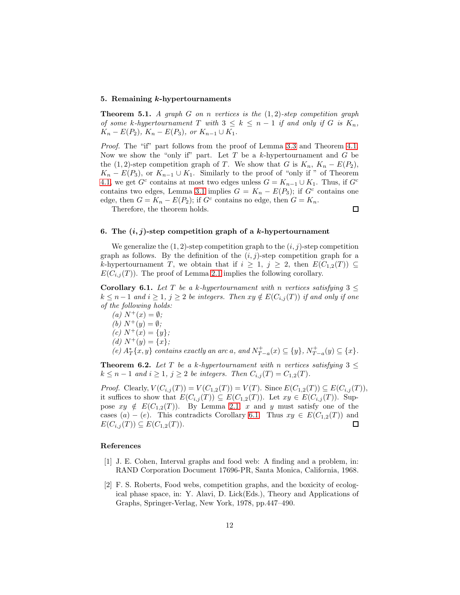# 5. Remaining k-hypertournaments

Theorem 5.1. *A graph* G *on* n *vertices is the* (1, 2)*-step competition graph of some* k-hypertournament T with  $3 \leq k \leq n-1$  *if and only if* G *is*  $K_n$ ,  $K_n - E(P_2)$ ,  $K_n - E(P_3)$ , or  $K_{n-1} \cup K_1$ .

*Proof.* The "if" part follows from the proof of Lemma [3.3](#page-5-0) and Theorem [4.1.](#page-7-1) Now we show the "only if" part. Let  $T$  be a k-hypertournament and  $G$  be the (1, 2)-step competition graph of T. We show that G is  $K_n$ ,  $K_n - E(P_2)$ ,  $K_n - E(P_3)$ , or  $K_{n-1} \cup K_1$ . Similarly to the proof of "only if " of Theorem [4.1,](#page-7-1) we get  $G^c$  contains at most two edges unless  $G = K_{n-1} \cup K_1$ . Thus, if  $G^c$ contains two edges, Lemma [3.1](#page-4-1) implies  $G = K_n - E(P_3)$ ; if  $G<sup>c</sup>$  contains one edge, then  $G = K_n - E(P_2)$ ; if  $G<sup>c</sup>$  contains no edge, then  $G = K_n$ .

Therefore, the theorem holds.

 $\Box$ 

#### 6. The  $(i, j)$ -step competition graph of a k-hypertournament

We generalize the  $(1, 2)$ -step competition graph to the  $(i, j)$ -step competition graph as follows. By the definition of the  $(i, j)$ -step competition graph for a k-hypertournament T, we obtain that if  $i \geq 1$ ,  $j \geq 2$ , then  $E(C_{1,2}(T)) \subseteq$  $E(C_{i,j}(T))$ . The proof of Lemma [2.1](#page-3-0) implies the following corollary.

<span id="page-11-2"></span>Corollary 6.1. Let T be a k-hypertournament with n vertices satisfying  $3 \leq$  $k \leq n-1$  and  $i \geq 1$ ,  $j \geq 2$  *be integers. Then*  $xy \notin E(C_{i,j}(T))$  *if and only if one of the following holds:*

*(a)*  $N^{+}(x) = \emptyset$ *; (b)*  $N^+(y) = \emptyset$ *;*  $(c) N^+(x) = \{y\};$  $(d) N^+(y) = \{x\};$  $(e)$   $A_T^*[x, y]$  *contains exactly an arc* a*, and*  $N_{T-a}^+(x) \subseteq \{y\}$ *,*  $N_{T-a}^+(y) \subseteq \{x\}$ *.* 

**Theorem 6.2.** Let T be a k-hypertournament with n vertices satisfying  $3 \leq$  $k \leq n-1$  *and*  $i \geq 1$ ,  $j \geq 2$  *be integers. Then*  $C_{i,j}(T) = C_{1,2}(T)$ *.* 

*Proof.* Clearly,  $V(C_{i,j}(T)) = V(C_{1,2}(T)) = V(T)$ . Since  $E(C_{1,2}(T)) \subseteq E(C_{i,j}(T))$ , it suffices to show that  $E(C_{i,j}(T)) \subseteq E(C_{1,2}(T))$ . Let  $xy \in E(C_{i,j}(T))$ . Suppose  $xy \notin E(C_{1,2}(T))$ . By Lemma [2.1,](#page-3-0) x and y must satisfy one of the cases  $(a) - (e)$ . This contradicts Corollary [6.1.](#page-11-2) Thus  $xy \in E(C_{1,2}(T))$  and  $E(C_{i,j}(T)) \subseteq E(C_{1,2}(T)).$  $\Box$ 

# References

- <span id="page-11-0"></span>[1] J. E. Cohen, Interval graphs and food web: A finding and a problem, in: RAND Corporation Document 17696-PR, Santa Monica, California, 1968.
- <span id="page-11-1"></span>[2] F. S. Roberts, Food webs, competition graphs, and the boxicity of ecological phase space, in: Y. Alavi, D. Lick(Eds.), Theory and Applications of Graphs, Springer-Verlag, New York, 1978, pp.447–490.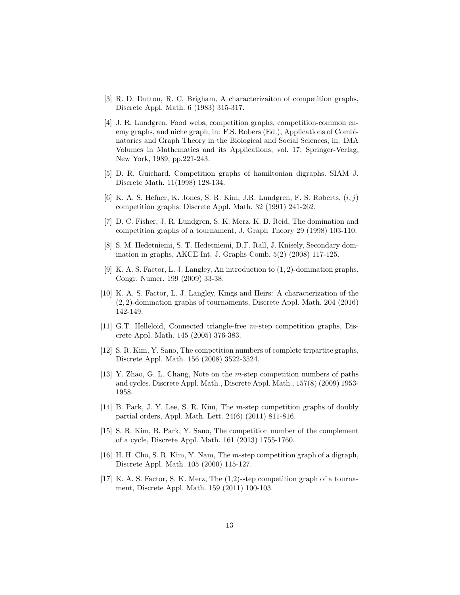- <span id="page-12-0"></span>[3] R. D. Dutton, R. C. Brigham, A characterizaiton of competition graphs, Discrete Appl. Math. 6 (1983) 315-317.
- <span id="page-12-1"></span>[4] J. R. Lundgren. Food webs, competition graphs, competition-common enemy graphs, and niche graph, in: F.S. Robers (Ed.), Applications of Combinatorics and Graph Theory in the Biological and Social Sciences, in: IMA Volumes in Mathematics and its Applications, vol. 17, Springer-Verlag, New York, 1989, pp.221-243.
- <span id="page-12-2"></span>[5] D. R. Guichard. Competition graphs of hamiltonian digraphs. SIAM J. Discrete Math. 11(1998) 128-134.
- <span id="page-12-3"></span>[6] K. A. S. Hefner, K. Jones, S. R. Kim, J.R. Lundgren, F. S. Roberts,  $(i, j)$ competition graphs. Discrete Appl. Math. 32 (1991) 241-262.
- <span id="page-12-4"></span>[7] D. C. Fisher, J. R. Lundgren, S. K. Merz, K. B. Reid, The domination and competition graphs of a tournament, J. Graph Theory 29 (1998) 103-110.
- <span id="page-12-5"></span>[8] S. M. Hedetniemi, S. T. Hedetniemi, D.F. Rall, J. Knisely, Secondary domination in graphs, AKCE Int. J. Graphs Comb. 5(2) (2008) 117-125.
- <span id="page-12-6"></span>[9] K. A. S. Factor, L. J. Langley, An introduction to (1, 2)-domination graphs, Congr. Numer. 199 (2009) 33-38.
- <span id="page-12-7"></span>[10] K. A. S. Factor, L. J. Langley, Kings and Heirs: A characterization of the (2, 2)-domination graphs of tournaments, Discrete Appl. Math. 204 (2016) 142-149.
- <span id="page-12-8"></span>[11] G.T. Helleloid, Connected triangle-free  $m$ -step competition graphs, Discrete Appl. Math. 145 (2005) 376-383.
- <span id="page-12-9"></span>[12] S. R. Kim, Y. Sano, The competition numbers of complete tripartite graphs, Discrete Appl. Math. 156 (2008) 3522-3524.
- <span id="page-12-10"></span>[13] Y. Zhao, G. L. Chang, Note on the m-step competition numbers of paths and cycles. Discrete Appl. Math., Discrete Appl. Math., 157(8) (2009) 1953- 1958.
- <span id="page-12-11"></span>[14] B. Park, J. Y. Lee, S. R. Kim, The m-step competition graphs of doubly partial orders, Appl. Math. Lett. 24(6) (2011) 811-816.
- <span id="page-12-12"></span>[15] S. R. Kim, B. Park, Y. Sano, The competition number of the complement of a cycle, Discrete Appl. Math. 161 (2013) 1755-1760.
- <span id="page-12-13"></span>[16] H. H. Cho, S. R. Kim, Y. Nam, The m-step competition graph of a digraph, Discrete Appl. Math. 105 (2000) 115-127.
- <span id="page-12-14"></span>[17] K. A. S. Factor, S. K. Merz, The (1,2)-step competition graph of a tournament, Discrete Appl. Math. 159 (2011) 100-103.